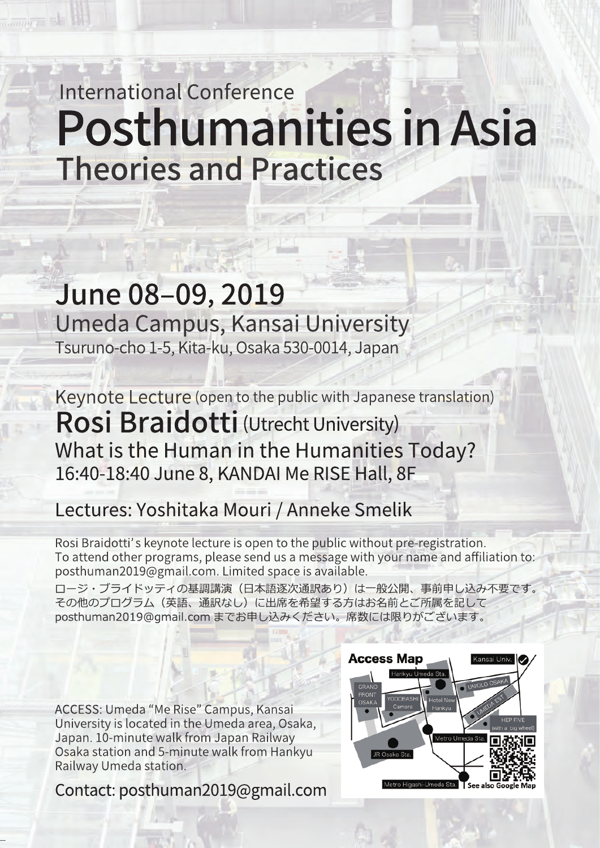# **International Conference Posthumanities in Asia Theories and Practices**

## June 08-09, 2019 Umeda Campus, Kansai University Tsuruno-cho 1-5, Kita-ku, Osaka 530-0014, Japan

Keynote Lecture (open to the public with Japanese translation) Rosi Braidotti (Utrecht University) What is the Human in the Humanities Today? 16:40-18:40 June 8, KANDAI Me RISE Hall, 8F

### Lectures: Yoshitaka Mouri / Anneke Smelik

Rosi Braidotti's keynote lecture is open to the public without pre-registration. To attend other programs, please send us a message with your name and affiliation to: posthuman2019@gmail.com. Limited space is available.

ロージ・ブライドッティの基調講演(日本語逐次通訳あり)は一般公開、事前申し込み不要です。 その他のプログラム(英語、通訳なし)に出席を希望する方はお名前とご所属を記して posthuman2019@qmail.com までお申し込みください。席数には限りがございます。

ACCESS: Umeda "Me Rise" Campus, Kansai University is located in the Umeda area, Osaka, Japan. 10-minute walk from Japan Railway Osaka station and 5-minute walk from Hankyu Railway Umeda station.

Contact: posthuman2019@gmail.com